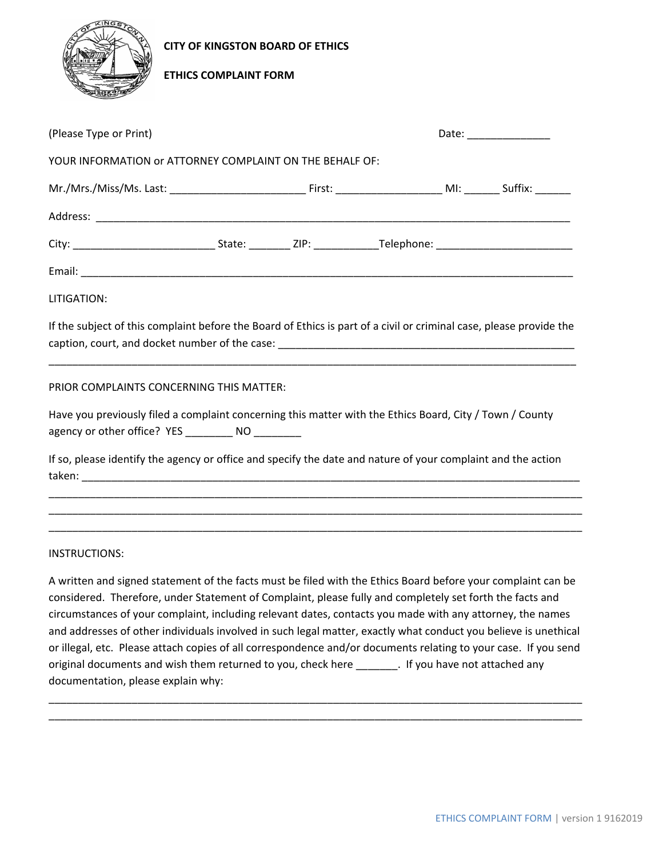

**CITY OF KINGSTON BOARD OF ETHICS** 

## **ETHICS COMPLAINT FORM**

| (Please Type or Print)                                                                                                                                                                                                   |  |  | Date: ________________ |  |  |  |
|--------------------------------------------------------------------------------------------------------------------------------------------------------------------------------------------------------------------------|--|--|------------------------|--|--|--|
| YOUR INFORMATION or ATTORNEY COMPLAINT ON THE BEHALF OF:                                                                                                                                                                 |  |  |                        |  |  |  |
|                                                                                                                                                                                                                          |  |  |                        |  |  |  |
|                                                                                                                                                                                                                          |  |  |                        |  |  |  |
|                                                                                                                                                                                                                          |  |  |                        |  |  |  |
|                                                                                                                                                                                                                          |  |  |                        |  |  |  |
| LITIGATION:                                                                                                                                                                                                              |  |  |                        |  |  |  |
| If the subject of this complaint before the Board of Ethics is part of a civil or criminal case, please provide the                                                                                                      |  |  |                        |  |  |  |
| PRIOR COMPLAINTS CONCERNING THIS MATTER:                                                                                                                                                                                 |  |  |                        |  |  |  |
| Have you previously filed a complaint concerning this matter with the Ethics Board, City / Town / County<br>agency or other office? YES __________ NO _________                                                          |  |  |                        |  |  |  |
| If so, please identify the agency or office and specify the date and nature of your complaint and the action                                                                                                             |  |  |                        |  |  |  |
|                                                                                                                                                                                                                          |  |  |                        |  |  |  |
| INSTRUCTIONS:                                                                                                                                                                                                            |  |  |                        |  |  |  |
| A written and signed statement of the facts must be filed with the Ethics Board before your complaint can be<br>considered. Therefore, under Statement of Complaint, please fully and completely set forth the facts and |  |  |                        |  |  |  |

circumstances of your complaint, including relevant dates, contacts you made with any attorney, the names and addresses of other individuals involved in such legal matter, exactly what conduct you believe is unethical or illegal, etc. Please attach copies of all correspondence and/or documents relating to your case. If you send original documents and wish them returned to you, check here \_\_\_\_\_\_\_. If you have not attached any documentation, please explain why:

\_\_\_\_\_\_\_\_\_\_\_\_\_\_\_\_\_\_\_\_\_\_\_\_\_\_\_\_\_\_\_\_\_\_\_\_\_\_\_\_\_\_\_\_\_\_\_\_\_\_\_\_\_\_\_\_\_\_\_\_\_\_\_\_\_\_\_\_\_\_\_\_\_\_\_\_\_\_\_\_\_\_\_\_\_\_\_\_\_\_ \_\_\_\_\_\_\_\_\_\_\_\_\_\_\_\_\_\_\_\_\_\_\_\_\_\_\_\_\_\_\_\_\_\_\_\_\_\_\_\_\_\_\_\_\_\_\_\_\_\_\_\_\_\_\_\_\_\_\_\_\_\_\_\_\_\_\_\_\_\_\_\_\_\_\_\_\_\_\_\_\_\_\_\_\_\_\_\_\_\_